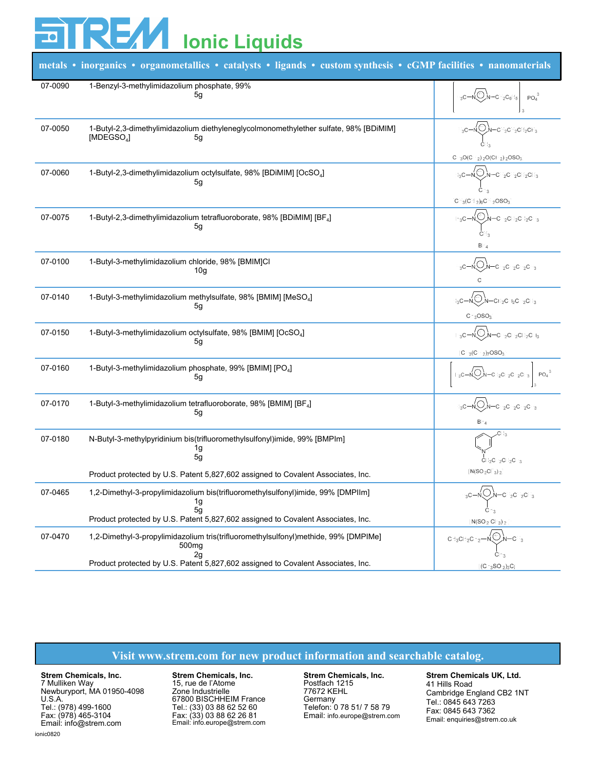## **REAZI Ionic Liquids**

| metals • inorganics • organometallics • catalysts • ligands • custom synthesis • cGMP facilities • nanomaterials |                                                                                                                                                                                        |                                                                                                |
|------------------------------------------------------------------------------------------------------------------|----------------------------------------------------------------------------------------------------------------------------------------------------------------------------------------|------------------------------------------------------------------------------------------------|
| 07-0090                                                                                                          | 1-Benzyl-3-methylimidazolium phosphate, 99%<br>5g                                                                                                                                      | $H_1C-M_2O$ <sub>N-CH<sub>2</sub>C<sub>2</sub>H<sub>2</sub></sub><br>PO.                       |
| 07-0050                                                                                                          | 1-Butyl-2,3-dimethylimidazolium diethyleneglycolmonomethylether sulfate, 98% [BDiMIM]<br>[MDEGSO4]<br>5g                                                                               | -CH:CH:CH:CH<br>$[CH, O(CH_2), CO(CH_2), OSO_1$                                                |
| 07-0060                                                                                                          | 1-Butyl-2,3-dimethylimidazolium octylsulfate, 98% [BDiMIM] [OcSO4]<br>5g                                                                                                               | ,Ө,Л-он <sub>з</sub> он <sub>з</sub> он <sub>з</sub> он,<br>H C-N<br>$[CH_2(CH_2), CH_2OSO_2]$ |
| 07-0075                                                                                                          | 1-Butyl-2,3-dimethylimidazolium tetrafluoroborate, 98% [BDiMIM] [BF <sub>4</sub> ]<br>5g                                                                                               | ( <del>О</del> ,N—сн-сн-сн-сн-<br>$H: C \longrightarrow$<br>CН<br>$BF_{\mathcal{L}}$           |
| 07-0100                                                                                                          | 1-Butyl-3-methylimidazolium chloride, 98% [BMIM]Cl<br>10 <sub>g</sub>                                                                                                                  | $-$ CH-CH-CH-CH                                                                                |
| 07-0140                                                                                                          | 1-Butyl-3-methylimidazolium methylsulfate, 98% [BMIM] [MeSO <sub>4</sub> ]<br>5g                                                                                                       | V-CH-CH-CH-CH<br>$H.C-$<br>[CH. OSO.]                                                          |
| 07-0150                                                                                                          | 1-Butyl-3-methylimidazolium octylsulfate, 98% [BMIM] [OcSO <sub>4</sub> ]<br>5g                                                                                                        | C<br>,<br>М—сн⊹сн⊱сн⊱сн<br>[CH: (CH - )-OSO-)*                                                 |
| 07-0160                                                                                                          | 1-Butyl-3-methylimidazolium phosphate, 99% [BMIM] [PO <sub>4</sub> ]<br>5g                                                                                                             | PO.<br>СН СН СН СН                                                                             |
| 07-0170                                                                                                          | 1-Butyl-3-methylimidazolium tetrafluoroborate, 98% [BMIM] [BF <sub>4</sub> ]<br>5g                                                                                                     | $-CH_2CH_2CH_2CH_2$<br>BF.r                                                                    |
| 07-0180                                                                                                          | N-Butyl-3-methylpyridinium bis(trifluoromethylsulfonyl)imide, 99% [BMPIm]<br>1g<br>5g                                                                                                  | CH-CH-CH-CH-                                                                                   |
|                                                                                                                  | Product protected by U.S. Patent 5,827,602 assigned to Covalent Associates, Inc.                                                                                                       | $\lceil N(SO_{\odot}CF_{\odot}) \odot \rceil^*$                                                |
| 07-0465                                                                                                          | 1,2-Dimethyl-3-propylimidazolium bis(trifluoromethylsulfonyl)imide, 99% [DMPIIm]<br>1g<br>5g<br>Product protected by U.S. Patent 5,827,602 assigned to Covalent Associates, Inc.       | $\langle \oplus \rangle$<br>$H_1$ C-<br>сн∍сн∍снј<br>CН<br>$[N(SO_2 CF_2)_2]$                  |
| 07-0470                                                                                                          | 1,2-Dimethyl-3-propylimidazolium tris(trifluoromethylsulfonyl)methide, 99% [DMPIMe]<br>500mg<br>2g<br>Product protected by U.S. Patent 5,827,602 assigned to Covalent Associates, Inc. | CH-CH-CH-<br>[(CF, SO, C)]                                                                     |

## **Visit www.strem.com for new product information and searchable catalog.**

**Strem Chemicals, Inc.** 7 Mulliken Way Newburyport, MA 01950-4098 U.S.A. Tel.: (978) 499-1600 Fax: (978) 465-3104 Email: info@strem.com

**Strem Chemicals, Inc.** 15, rue de l'Atome Zone Industrielle 67800 BISCHHEIM France Tel.: (33) 03 88 62 52 60 Fax: (33) 03 88 62 26 81 Email: info.europe@strem.com

**Strem Chemicals, Inc.** Postfach 1215 77672 KEHL Germany Telefon: 0 78 51/ 7 58 79 Email: info.europe@strem.com

**Strem Chemicals UK, Ltd.** 41 Hills Road Cambridge England CB2 1NT Tel.: 0845 643 7263 Fax: 0845 643 7362 Email: enquiries@strem.co.uk